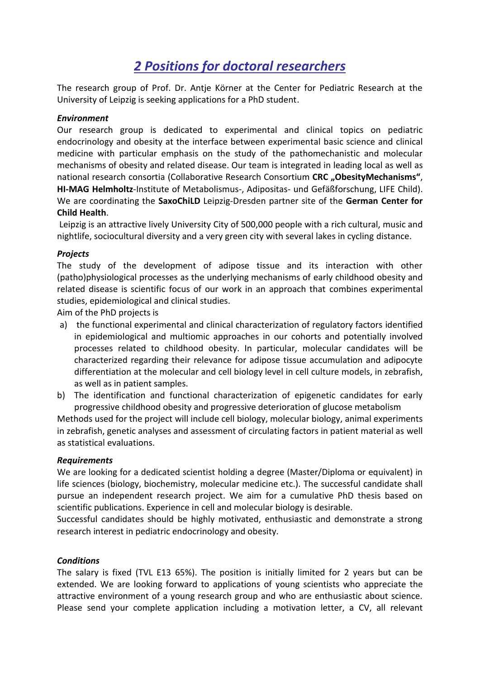# *2 Positions for doctoral researchers*

The research group of Prof. Dr. Antje Körner at the Center for Pediatric Research at the University of Leipzig is seeking applications for a PhD student.

## *Environment*

Our research group is dedicated to experimental and clinical topics on pediatric endocrinology and obesity at the interface between experimental basic science and clinical medicine with particular emphasis on the study of the pathomechanistic and molecular mechanisms of obesity and related disease. Our team is integrated in leading local as well as national research consortia (Collaborative Research Consortium CRC "ObesityMechanisms", **HI-MAG Helmholtz**-Institute of Metabolismus-, Adipositas- und Gefäßforschung, LIFE Child). We are coordinating the **SaxoChiLD** Leipzig-Dresden partner site of the **German Center for Child Health**.

Leipzig is an attractive lively University City of 500,000 people with a rich cultural, music and nightlife, sociocultural diversity and a very green city with several lakes in cycling distance.

## *Projects*

The study of the development of adipose tissue and its interaction with other (patho)physiological processes as the underlying mechanisms of early childhood obesity and related disease is scientific focus of our work in an approach that combines experimental studies, epidemiological and clinical studies.

Aim of the PhD projects is

- a) the functional experimental and clinical characterization of regulatory factors identified in epidemiological and multiomic approaches in our cohorts and potentially involved processes related to childhood obesity. In particular, molecular candidates will be characterized regarding their relevance for adipose tissue accumulation and adipocyte differentiation at the molecular and cell biology level in cell culture models, in zebrafish, as well as in patient samples.
- b) The identification and functional characterization of epigenetic candidates for early progressive childhood obesity and progressive deterioration of glucose metabolism

Methods used for the project will include cell biology, molecular biology, animal experiments in zebrafish, genetic analyses and assessment of circulating factors in patient material as well as statistical evaluations.

#### *Requirements*

We are looking for a dedicated scientist holding a degree (Master/Diploma or equivalent) in life sciences (biology, biochemistry, molecular medicine etc.). The successful candidate shall pursue an independent research project. We aim for a cumulative PhD thesis based on scientific publications. Experience in cell and molecular biology is desirable.

Successful candidates should be highly motivated, enthusiastic and demonstrate a strong research interest in pediatric endocrinology and obesity.

#### *Conditions*

The salary is fixed (TVL E13 65%). The position is initially limited for 2 years but can be extended. We are looking forward to applications of young scientists who appreciate the attractive environment of a young research group and who are enthusiastic about science. Please send your complete application including a motivation letter, a CV, all relevant